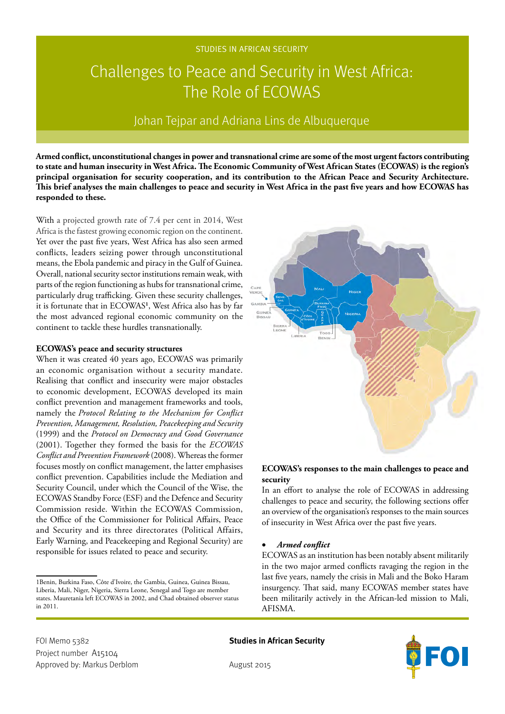## STUDIES IN AFRICAN SECURITY

# Challenges to Peace and Security in West Africa: The Role of ECOWAS

# Johan Tejpar and Adriana Lins de Albuquerque

**Armed conflict, unconstitutional changes in power and transnational crime are some of the most urgent factors contributing to state and human insecurity in West Africa. The Economic Community of West African States (ECOWAS) is the region's principal organisation for security cooperation, and its contribution to the African Peace and Security Architecture. This brief analyses the main challenges to peace and security in West Africa in the past five years and how ECOWAS has responded to these.**

With a projected growth rate of 7.4 per cent in 2014, West Africa is the fastest growing economic region on the continent. Yet over the past five years, West Africa has also seen armed conflicts, leaders seizing power through unconstitutional means, the Ebola pandemic and piracy in the Gulf of Guinea. Overall, national security sector institutions remain weak, with parts of the region functioning as hubs for transnational crime, particularly drug trafficking. Given these security challenges, it is fortunate that in ECOWAS**<sup>1</sup>** , West Africa also has by far the most advanced regional economic community on the continent to tackle these hurdles transnationally.

#### **ECOWAS's peace and security structures**

When it was created 40 years ago, ECOWAS was primarily an economic organisation without a security mandate. Realising that conflict and insecurity were major obstacles to economic development, ECOWAS developed its main conflict prevention and management frameworks and tools, namely the *Protocol Relating to the Mechanism for Conflict Prevention, Management, Resolution, Peacekeeping and Security*  (1999) and the *Protocol on Democracy and Good Governance*  (2001). Together they formed the basis for the *ECOWAS Conflict and Prevention Framework* (2008). Whereas the former focuses mostly on conflict management, the latter emphasises conflict prevention. Capabilities include the Mediation and Security Council, under which the Council of the Wise, the ECOWAS Standby Force (ESF) and the Defence and Security Commission reside. Within the ECOWAS Commission, the Office of the Commissioner for Political Affairs, Peace and Security and its three directorates (Political Affairs, Early Warning, and Peacekeeping and Regional Security) are responsible for issues related to peace and security.



# **ECOWAS's responses to the main challenges to peace and security**

In an effort to analyse the role of ECOWAS in addressing challenges to peace and security, the following sections offer an overview of the organisation's responses to the main sources of insecurity in West Africa over the past five years.

#### • *Armed conflict*

ECOWAS as an institution has been notably absent militarily in the two major armed conflicts ravaging the region in the last five years, namely the crisis in Mali and the Boko Haram insurgency. That said, many ECOWAS member states have been militarily actively in the African-led mission to Mali, AFISMA.



<sup>1</sup>Benin, Burkina Faso, Côte d'Ivoire, the Gambia, Guinea, Guinea Bissau, Liberia, Mali, Niger, Nigeria, Sierra Leone, Senegal and Togo are member states. Mauretania left ECOWAS in 2002, and Chad obtained observer status in 2011.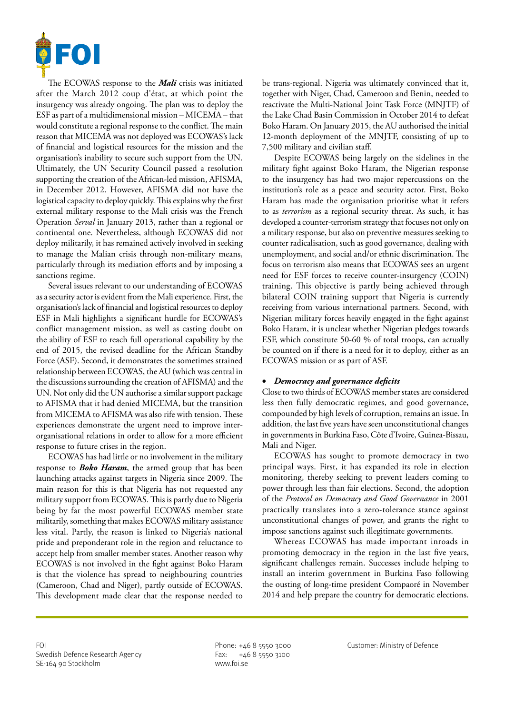

The ECOWAS response to the *Mali* crisis was initiated after the March 2012 coup d'état, at which point the insurgency was already ongoing. The plan was to deploy the ESF as part of a multidimensional mission – MICEMA – that would constitute a regional response to the conflict. The main reason that MICEMA was not deployed was ECOWAS's lack of financial and logistical resources for the mission and the organisation's inability to secure such support from the UN. Ultimately, the UN Security Council passed a resolution supporting the creation of the African-led mission, AFISMA, in December 2012. However, AFISMA did not have the logistical capacity to deploy quickly. This explains why the first external military response to the Mali crisis was the French Operation *Serval* in January 2013, rather than a regional or continental one. Nevertheless, although ECOWAS did not deploy militarily, it has remained actively involved in seeking to manage the Malian crisis through non-military means, particularly through its mediation efforts and by imposing a sanctions regime.

Several issues relevant to our understanding of ECOWAS as a security actor is evident from the Mali experience. First, the organisation's lack of financial and logistical resources to deploy ESF in Mali highlights a significant hurdle for ECOWAS's conflict management mission, as well as casting doubt on the ability of ESF to reach full operational capability by the end of 2015, the revised deadline for the African Standby Force (ASF). Second, it demonstrates the sometimes strained relationship between ECOWAS, the AU (which was central in the discussions surrounding the creation of AFISMA) and the UN. Not only did the UN authorise a similar support package to AFISMA that it had denied MICEMA, but the transition from MICEMA to AFISMA was also rife with tension. These experiences demonstrate the urgent need to improve interorganisational relations in order to allow for a more efficient response to future crises in the region.

ECOWAS has had little or no involvement in the military response to *Boko Haram*, the armed group that has been launching attacks against targets in Nigeria since 2009. The main reason for this is that Nigeria has not requested any military support from ECOWAS. This is partly due to Nigeria being by far the most powerful ECOWAS member state militarily, something that makes ECOWAS military assistance less vital. Partly, the reason is linked to Nigeria's national pride and preponderant role in the region and reluctance to accept help from smaller member states. Another reason why ECOWAS is not involved in the fight against Boko Haram is that the violence has spread to neighbouring countries (Cameroon, Chad and Niger), partly outside of ECOWAS. This development made clear that the response needed to

be trans-regional. Nigeria was ultimately convinced that it, together with Niger, Chad, Cameroon and Benin, needed to reactivate the Multi-National Joint Task Force (MNJTF) of the Lake Chad Basin Commission in October 2014 to defeat Boko Haram. On January 2015, the AU authorised the initial 12-month deployment of the MNJTF, consisting of up to 7,500 military and civilian staff.

Despite ECOWAS being largely on the sidelines in the military fight against Boko Haram, the Nigerian response to the insurgency has had two major repercussions on the institution's role as a peace and security actor. First, Boko Haram has made the organisation prioritise what it refers to as *terrorism* as a regional security threat. As such, it has developed a counter-terrorism strategy that focuses not only on a military response, but also on preventive measures seeking to counter radicalisation, such as good governance, dealing with unemployment, and social and/or ethnic discrimination. The focus on terrorism also means that ECOWAS sees an urgent need for ESF forces to receive counter-insurgency (COIN) training. This objective is partly being achieved through bilateral COIN training support that Nigeria is currently receiving from various international partners. Second, with Nigerian military forces heavily engaged in the fight against Boko Haram, it is unclear whether Nigerian pledges towards ESF, which constitute 50-60 % of total troops, can actually be counted on if there is a need for it to deploy, either as an ECOWAS mission or as part of ASF.

#### • *Democracy and governance deficits*

Close to two thirds of ECOWAS member states are considered less then fully democratic regimes, and good governance, compounded by high levels of corruption, remains an issue. In addition, the last five years have seen unconstitutional changes in governments in Burkina Faso, Côte d'Ivoire, Guinea-Bissau, Mali and Niger.

ECOWAS has sought to promote democracy in two principal ways. First, it has expanded its role in election monitoring, thereby seeking to prevent leaders coming to power through less than fair elections. Second, the adoption of the *Protocol on Democracy and Good Governance* in 2001 practically translates into a zero-tolerance stance against unconstitutional changes of power, and grants the right to impose sanctions against such illegitimate governments.

Whereas ECOWAS has made important inroads in promoting democracy in the region in the last five years, significant challenges remain. Successes include helping to install an interim government in Burkina Faso following the ousting of long-time president Compaoré in November 2014 and help prepare the country for democratic elections.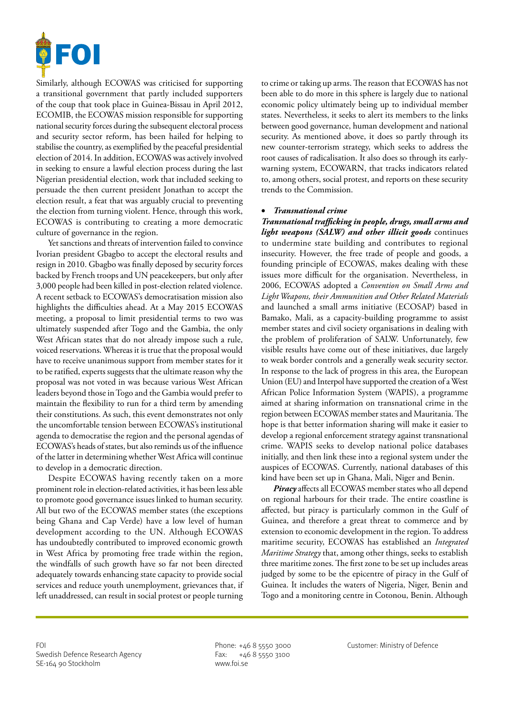

Similarly, although ECOWAS was criticised for supporting a transitional government that partly included supporters of the coup that took place in Guinea-Bissau in April 2012, ECOMIB, the ECOWAS mission responsible for supporting national security forces during the subsequent electoral process and security sector reform, has been hailed for helping to stabilise the country, as exemplified by the peaceful presidential election of 2014. In addition, ECOWAS was actively involved in seeking to ensure a lawful election process during the last Nigerian presidential election, work that included seeking to persuade the then current president Jonathan to accept the election result, a feat that was arguably crucial to preventing the election from turning violent. Hence, through this work, ECOWAS is contributing to creating a more democratic culture of governance in the region.

Yet sanctions and threats of intervention failed to convince Ivorian president Gbagbo to accept the electoral results and resign in 2010. Gbagbo was finally deposed by security forces backed by French troops and UN peacekeepers, but only after 3,000 people had been killed in post-election related violence. A recent setback to ECOWAS's democratisation mission also highlights the difficulties ahead. At a May 2015 ECOWAS meeting, a proposal to limit presidential terms to two was ultimately suspended after Togo and the Gambia, the only West African states that do not already impose such a rule, voiced reservations. Whereas it is true that the proposal would have to receive unanimous support from member states for it to be ratified, experts suggests that the ultimate reason why the proposal was not voted in was because various West African leaders beyond those in Togo and the Gambia would prefer to maintain the flexibility to run for a third term by amending their constitutions. As such, this event demonstrates not only the uncomfortable tension between ECOWAS's institutional agenda to democratise the region and the personal agendas of ECOWAS's heads of states, but also reminds us of the influence of the latter in determining whether West Africa will continue to develop in a democratic direction.

Despite ECOWAS having recently taken on a more prominent role in election-related activities, it has been less able to promote good governance issues linked to human security. All but two of the ECOWAS member states (the exceptions being Ghana and Cap Verde) have a low level of human development according to the UN. Although ECOWAS has undoubtedly contributed to improved economic growth in West Africa by promoting free trade within the region, the windfalls of such growth have so far not been directed adequately towards enhancing state capacity to provide social services and reduce youth unemployment, grievances that, if left unaddressed, can result in social protest or people turning to crime or taking up arms. The reason that ECOWAS has not been able to do more in this sphere is largely due to national economic policy ultimately being up to individual member states. Nevertheless, it seeks to alert its members to the links between good governance, human development and national security. As mentioned above, it does so partly through its new counter-terrorism strategy, which seeks to address the root causes of radicalisation. It also does so through its earlywarning system, ECOWARN, that tracks indicators related to, among others, social protest, and reports on these security trends to the Commission.

## • *Transnational crime*

*Transnational trafficking in people, drugs, small arms and light weapons (SALW) and other illicit goods* continues to undermine state building and contributes to regional insecurity. However, the free trade of people and goods, a founding principle of ECOWAS, makes dealing with these issues more difficult for the organisation. Nevertheless, in 2006, ECOWAS adopted a *Convention on Small Arms and Light Weapons, their Ammunition and Other Related Materials* and launched a small arms initiative (ECOSAP) based in Bamako, Mali, as a capacity-building programme to assist member states and civil society organisations in dealing with the problem of proliferation of SALW. Unfortunately, few visible results have come out of these initiatives, due largely to weak border controls and a generally weak security sector. In response to the lack of progress in this area, the European Union (EU) and Interpol have supported the creation of a West African Police Information System (WAPIS), a programme aimed at sharing information on transnational crime in the region between ECOWAS member states and Mauritania. The hope is that better information sharing will make it easier to develop a regional enforcement strategy against transnational crime. WAPIS seeks to develop national police databases initially, and then link these into a regional system under the auspices of ECOWAS. Currently, national databases of this kind have been set up in Ghana, Mali, Niger and Benin.

*Piracy* affects all ECOWAS member states who all depend on regional harbours for their trade. The entire coastline is affected, but piracy is particularly common in the Gulf of Guinea, and therefore a great threat to commerce and by extension to economic development in the region. To address maritime security, ECOWAS has established an *Integrated Maritime Strategy* that, among other things, seeks to establish three maritime zones. The first zone to be set up includes areas judged by some to be the epicentre of piracy in the Gulf of Guinea. It includes the waters of Nigeria, Niger, Benin and Togo and a monitoring centre in Cotonou, Benin. Although